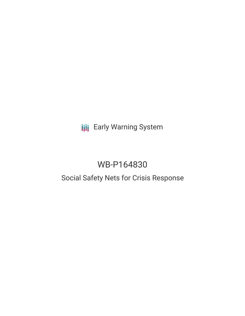# **III** Early Warning System

# WB-P164830

### Social Safety Nets for Crisis Response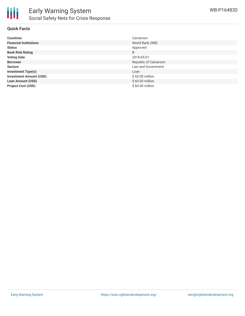

### **Quick Facts**

| <b>Countries</b>               | Cameroon             |
|--------------------------------|----------------------|
| <b>Financial Institutions</b>  | World Bank (WB)      |
| <b>Status</b>                  | Approved             |
| <b>Bank Risk Rating</b>        | B                    |
| <b>Voting Date</b>             | 2018-05-01           |
| <b>Borrower</b>                | Republic of Camaroon |
| <b>Sectors</b>                 | Law and Government   |
| <b>Investment Type(s)</b>      | Loan                 |
| <b>Investment Amount (USD)</b> | $$60.00$ million     |
| <b>Loan Amount (USD)</b>       | $$60.00$ million     |
| <b>Project Cost (USD)</b>      | \$60.00 million      |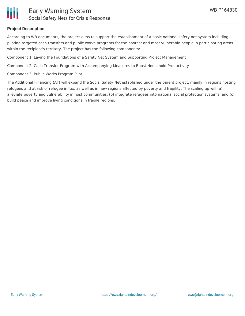

#### **Project Description**

According to WB documents, the project aims to support the establishment of a basic national safety net system including piloting targeted cash transfers and public works programs for the poorest and most vulnerable people in participating areas within the recipient's territory. The project has the following components:

Component 1. Laying the Foundations of a Safety Net System and Supporting Project Management

Component 2. Cash Transfer Program with Accompanying Measures to Boost Household Productivity

Component 3. Public Works Program Pilot

The Additional Financing (AF) will expand the Social Safety Net established under the parent project, mainly in regions hosting refugees and at risk of refugee influx, as well as in new regions affected by poverty and fragility. The scaling up will (a) alleviate poverty and vulnerability in host communities, (b) integrate refugees into national social protection systems, and (c) build peace and improve living conditions in fragile regions.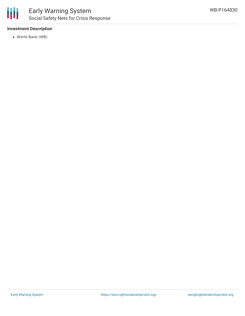

#### **Investment Description**

World Bank (WB)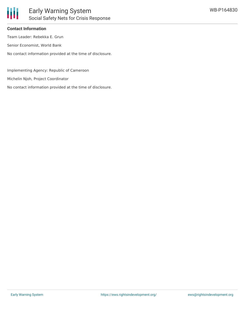

#### **Contact Information**

Team Leader: Rebekka E. Grun

Senior Economist, World Bank

No contact information provided at the time of disclosure.

Implementing Agency: Republic of Cameroon

Michelin Njoh, Project Coordinator

No contact information provided at the time of disclosure.